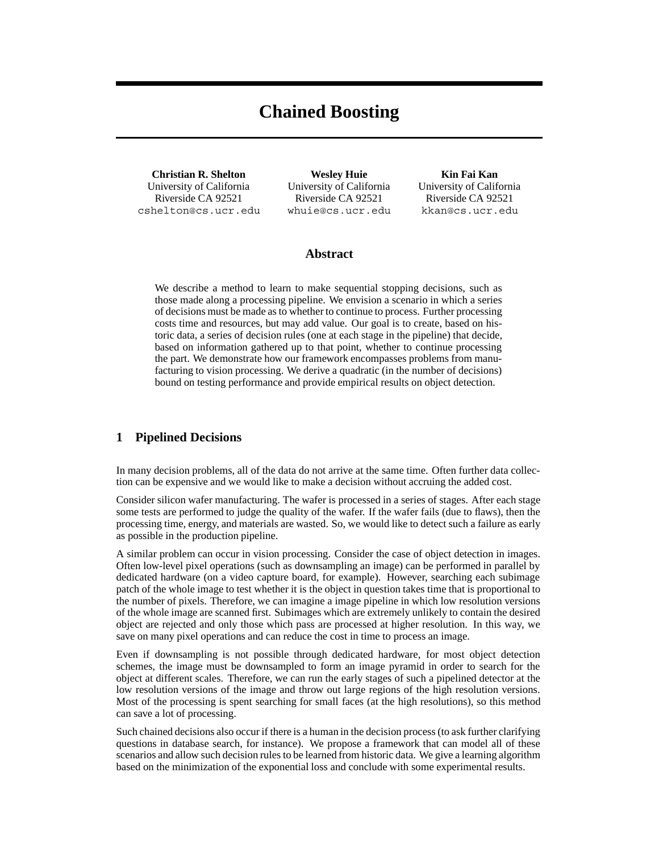# **Chained Boosting**

**Christian R. Shelton** University of California Riverside CA 92521 cshelton@cs.ucr.edu

**Wesley Huie** University of California Riverside CA 92521 whuie@cs.ucr.edu

**Kin Fai Kan** University of California Riverside CA 92521 kkan@cs.ucr.edu

# **Abstract**

We describe a method to learn to make sequential stopping decisions, such as those made along a processing pipeline. We envision a scenario in which a series of decisions must be made as to whether to continue to process. Further processing costs time and resources, but may add value. Our goal is to create, based on historic data, a series of decision rules (one at each stage in the pipeline) that decide, based on information gathered up to that point, whether to continue processing the part. We demonstrate how our framework encompasses problems from manufacturing to vision processing. We derive a quadratic (in the number of decisions) bound on testing performance and provide empirical results on object detection.

## **1 Pipelined Decisions**

In many decision problems, all of the data do not arrive at the same time. Often further data collection can be expensive and we would like to make a decision without accruing the added cost.

Consider silicon wafer manufacturing. The wafer is processed in a series of stages. After each stage some tests are performed to judge the quality of the wafer. If the wafer fails (due to flaws), then the processing time, energy, and materials are wasted. So, we would like to detect such a failure as early as possible in the production pipeline.

A similar problem can occur in vision processing. Consider the case of object detection in images. Often low-level pixel operations (such as downsampling an image) can be performed in parallel by dedicated hardware (on a video capture board, for example). However, searching each subimage patch of the whole image to test whether it is the object in question takes time that is proportional to the number of pixels. Therefore, we can imagine a image pipeline in which low resolution versions of the whole image are scanned first. Subimages which are extremely unlikely to contain the desired object are rejected and only those which pass are processed at higher resolution. In this way, we save on many pixel operations and can reduce the cost in time to process an image.

Even if downsampling is not possible through dedicated hardware, for most object detection schemes, the image must be downsampled to form an image pyramid in order to search for the object at different scales. Therefore, we can run the early stages of such a pipelined detector at the low resolution versions of the image and throw out large regions of the high resolution versions. Most of the processing is spent searching for small faces (at the high resolutions), so this method can save a lot of processing.

Such chained decisions also occur if there is a human in the decision process (to ask further clarifying questions in database search, for instance). We propose a framework that can model all of these scenarios and allow such decision rules to be learned from historic data. We give a learning algorithm based on the minimization of the exponential loss and conclude with some experimental results.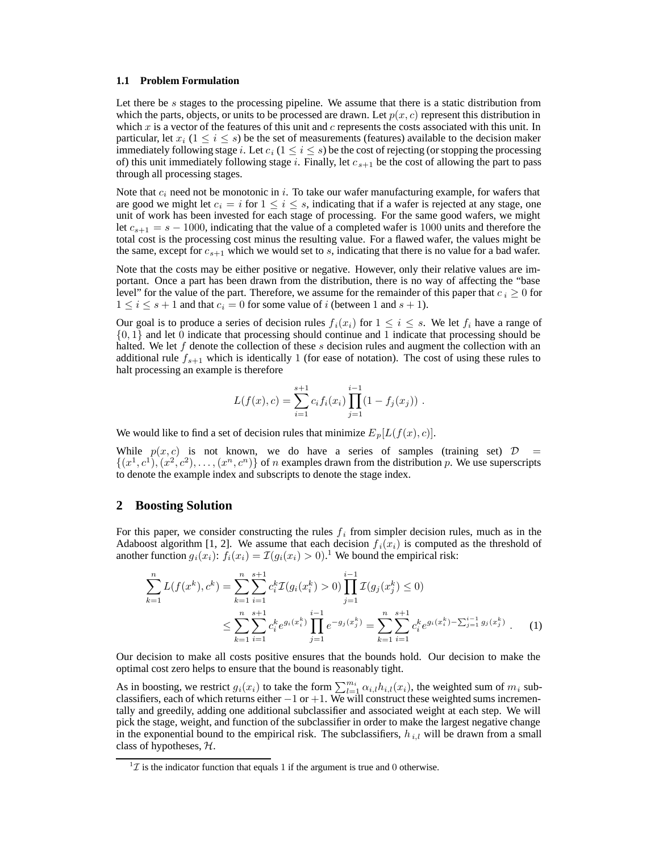#### **1.1 Problem Formulation**

Let there be s stages to the processing pipeline. We assume that there is a static distribution from which the parts, objects, or units to be processed are drawn. Let  $p(x, c)$  represent this distribution in which x is a vector of the features of this unit and c represents the costs associated with this unit. In particular, let  $x_i$  (1  $\le i \le s$ ) be the set of measurements (features) available to the decision maker immediately following stage i. Let  $c_i$  ( $1 \le i \le s$ ) be the cost of rejecting (or stopping the processing of) this unit immediately following stage i. Finally, let  $c_{s+1}$  be the cost of allowing the part to pass through all processing stages.

Note that  $c_i$  need not be monotonic in i. To take our wafer manufacturing example, for wafers that are good we might let  $c_i = i$  for  $1 \le i \le s$ , indicating that if a wafer is rejected at any stage, one unit of work has been invested for each stage of processing. For the same good wafers, we might let  $c_{s+1} = s - 1000$ , indicating that the value of a completed wafer is 1000 units and therefore the total cost is the processing cost minus the resulting value. For a flawed wafer, the values might be the same, except for  $c_{s+1}$  which we would set to s, indicating that there is no value for a bad wafer.

Note that the costs may be either positive or negative. However, only their relative values are important. Once a part has been drawn from the distribution, there is no way of affecting the "base level" for the value of the part. Therefore, we assume for the remainder of this paper that  $c_i \geq 0$  for  $1 \leq i \leq s+1$  and that  $c_i = 0$  for some value of i (between 1 and  $s + 1$ ).

Our goal is to produce a series of decision rules  $f_i(x_i)$  for  $1 \le i \le s$ . We let  $f_i$  have a range of  $\{0, 1\}$  and let 0 indicate that processing should continue and 1 indicate that processing should be halted. We let f denote the collection of these s decision rules and augment the collection with an additional rule  $f_{s+1}$  which is identically 1 (for ease of notation). The cost of using these rules to halt processing an example is therefore

$$
L(f(x), c) = \sum_{i=1}^{s+1} c_i f_i(x_i) \prod_{j=1}^{i-1} (1 - f_j(x_j)) .
$$

We would like to find a set of decision rules that minimize  $E_p[L(f(x), c)]$ .

While  $p(x, c)$  is not known, we do have a series of samples (training set)  $D =$  $\{(x^1, c^1), (x^2, c^2), \ldots, (x^n, c^n)\}\$  of n examples drawn from the distribution p. We use superscripts to denote the example index and subscripts to denote the stage index.

## **2 Boosting Solution**

For this paper, we consider constructing the rules  $f_i$  from simpler decision rules, much as in the Adaboost algorithm [1, 2]. We assume that each decision  $f_i(x_i)$  is computed as the threshold of another function  $g_i(x_i)$ :  $f_i(x_i) = \mathcal{I}(g_i(x_i) > 0)$ .<sup>1</sup> We bound the empirical risk:

$$
\sum_{k=1}^{n} L(f(x^{k}), c^{k}) = \sum_{k=1}^{n} \sum_{i=1}^{s+1} c_{i}^{k} \mathcal{I}(g_{i}(x_{i}^{k}) > 0) \prod_{j=1}^{i-1} \mathcal{I}(g_{j}(x_{j}^{k}) \le 0)
$$
\n
$$
\le \sum_{k=1}^{n} \sum_{i=1}^{s+1} c_{i}^{k} e^{g_{i}(x_{i}^{k})} \prod_{j=1}^{i-1} e^{-g_{j}(x_{j}^{k})} = \sum_{k=1}^{n} \sum_{i=1}^{s+1} c_{i}^{k} e^{g_{i}(x_{i}^{k}) - \sum_{j=1}^{i-1} g_{j}(x_{j}^{k})}.
$$
\n(1)

Our decision to make all costs positive ensures that the bounds hold. Our decision to make the optimal cost zero helps to ensure that the bound is reasonably tight.

As in boosting, we restrict  $g_i(x_i)$  to take the form  $\sum_{l=1}^{m_i} \alpha_{i,l} h_{i,l}(x_i)$ , the weighted sum of  $m_i$  sub-<br>classifiers each of which returns either  $-1$  or  $+1$ . We will construct these weighted sums incremenclassifiers, each of which returns either −1 or +1. We will construct these weighted sums incremen-<br>tally and greedily adding one additional subclassifier and associated weight at each step. We will tally and greedily, adding one additional subclassifier and associated weight at each step. We will pick the stage, weight, and function of the subclassifier in order to make the largest negative change in the exponential bound to the empirical risk. The subclassifiers,  $h_{i,l}$  will be drawn from a small class of hypotheses,  $H$ .

 ${}^{1}Z$  is the indicator function that equals 1 if the argument is true and 0 otherwise.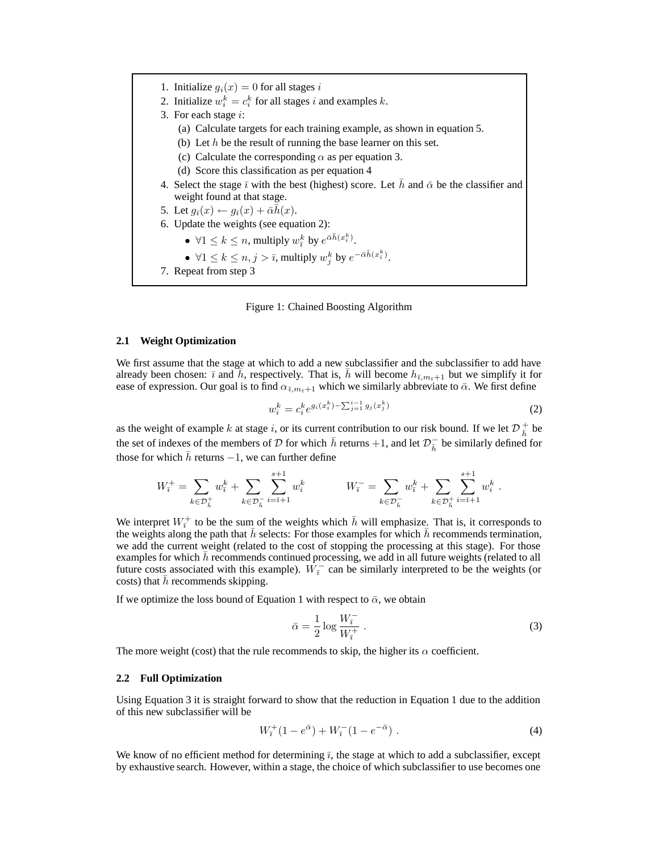1. Initialize  $q_i(x)=0$  for all stages i 2. Initialize  $w_i^k = c_i^k$  for all stages i and examples k. 3. For each stage  $i$ : (a) Calculate targets for each training example, as shown in equation 5. (b) Let  $h$  be the result of running the base learner on this set. (c) Calculate the corresponding  $\alpha$  as per equation 3. (d) Score this classification as per equation 4 4. Select the stage  $\bar{\imath}$  with the best (highest) score. Let  $\bar{h}$  and  $\bar{\alpha}$  be the classifier and weight found at that stage. 5. Let  $g_{\bar{i}}(x) \leftarrow g_{\bar{i}}(x) + \bar{\alpha}\bar{h}(x)$ . 6. Update the weights (see equation 2): •  $\forall 1 \leq k \leq n$ , multiply  $w_i^k$  by  $e^{\bar{\alpha}\bar{h}(x_i^k)}$ . •  $\forall 1 \leq k \leq n, j > \bar{\imath}$ , multiply  $w_j^k$  by  $e^{-\bar{\alpha}\bar{h}(x_i^k)}$ .

7. Repeat from step 3

Figure 1: Chained Boosting Algorithm

#### **2.1 Weight Optimization**

We first assume that the stage at which to add a new subclassifier and the subclassifier to add have already been chosen:  $\bar{\imath}$  and  $\bar{h}$ , respectively. That is,  $\bar{h}$  will become  $h_{\bar{\imath},m_{\bar{\imath}}+1}$  but we simplify it for ease of expression. Our goal is to find  $\alpha_{\bar{\imath},m_{\bar{\imath}}+1}$  which we similarly abbreviate to  $\bar{\alpha}$ . We first define

$$
w_i^k = c_i^k e^{g_i(x_i^k) - \sum_{j=1}^{i-1} g_j(x_j^k)}
$$
 (2)

as the weight of example k at stage i, or its current contribution to our risk bound. If we let  $\mathcal{D}_{h}^{+}$  be the set of indexes of the mambers of  $\mathcal{D}$  for which  $\bar{h}$  returns 1.1 and let  $\mathcal{D}^{-}$  be similarly the set of indexes of the members of D for which h returns +1, and let  $\mathcal{D}_{\bar{h}}^-$  be similarly defined for those for which h returns  $-1$ , we can further define those for which  $\bar{h}$  returns  $-1$ , we can further define

$$
W_{\bar{i}}^{+} = \sum_{k \in \mathcal{D}_{\bar{h}}^{+}} w_{\bar{i}}^{k} + \sum_{k \in \mathcal{D}_{\bar{h}}^{-}} \sum_{i = \bar{i} + 1}^{s + 1} w_{i}^{k} \qquad W_{\bar{i}}^{-} = \sum_{k \in \mathcal{D}_{\bar{h}}^{-}} w_{\bar{i}}^{k} + \sum_{k \in \mathcal{D}_{\bar{h}}^{+}} \sum_{i = \bar{i} + 1}^{s + 1} w_{i}^{k}.
$$

We interpret  $W_i^{\pm}$  to be the sum of the weights which  $\bar{h}$  will emphasize. That is, it corresponds to the weights along the path that  $\bar{h}$  selects: For those examples for which  $\bar{h}$  recommends termination the weights along the path that  $\bar{h}$  selects: For those examples for which  $\bar{h}$  recommends termination, we add the current weight (related to the cost of stopping the processing at this stage). For those examples for which  $h$  recommends continued processing, we add in all future weights (related to all future costs associated with this example).  $W_i^-$  can be similarly interpreted to be the weights (or costs) that  $\bar{h}$  recommends skinning costs) that h recommends skipping.

If we optimize the loss bound of Equation 1 with respect to  $\bar{\alpha}$ , we obtain

$$
\bar{\alpha} = \frac{1}{2} \log \frac{W_{\overline{i}}^{-}}{W_{\overline{i}}^{+}} \tag{3}
$$

The more weight (cost) that the rule recommends to skip, the higher its  $\alpha$  coefficient.

#### **2.2 Full Optimization**

Using Equation 3 it is straight forward to show that the reduction in Equation 1 due to the addition of this new subclassifier will be

$$
W_{\bar{i}}^{+}(1 - e^{\bar{\alpha}}) + W_{\bar{i}}^{-}(1 - e^{-\bar{\alpha}}) . \tag{4}
$$

We know of no efficient method for determining  $\bar{i}$ , the stage at which to add a subclassifier, except by exhaustive search. However, within a stage, the choice of which subclassifier to use becomes one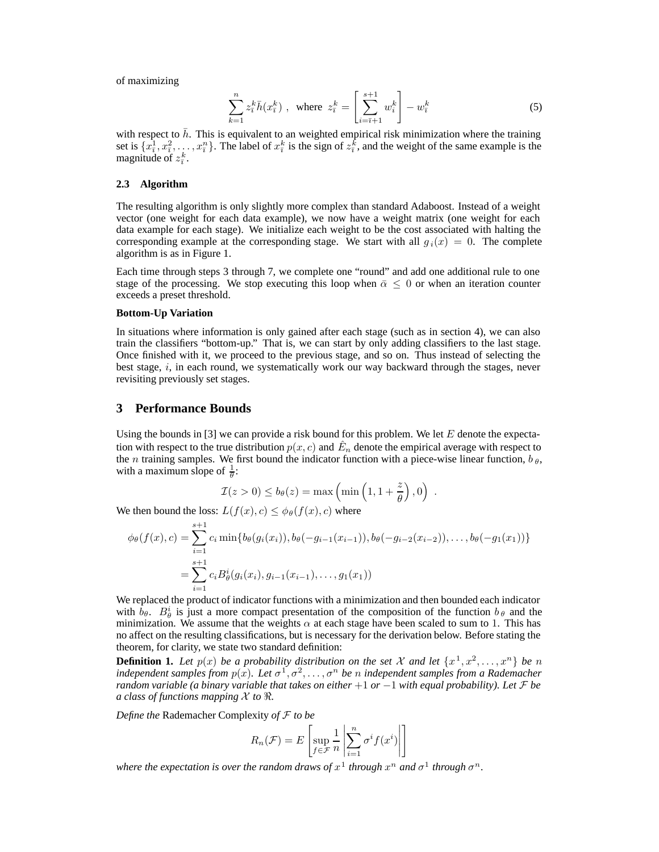of maximizing

$$
\sum_{k=1}^{n} z_{\bar{i}}^{k} \bar{h}(x_{\bar{i}}^{k}) , \text{ where } z_{\bar{i}}^{k} = \left[ \sum_{i=\bar{i}+1}^{s+1} w_{i}^{k} \right] - w_{\bar{i}}^{k}
$$
 (5)

with respect to h. This is equivalent to an weighted empirical risk minimization where the training set is  $\{x^1, x^2, \ldots, x^n\}$ . The label of  $x^k$  is the sign of  $z^k$  and the weight of the same example is the set is  $\{\overline{x_i^1}, \overline{x_i^2}, \dots, \overline{x_i^n}\}$ . The label of  $x_i^k$  is the sign of  $z_i^k$ , and the weight of the same example is the magnitude of  $z_i^k$ magnitude of  $z_{\overline{i}}^k$ .

#### **2.3 Algorithm**

The resulting algorithm is only slightly more complex than standard Adaboost. Instead of a weight vector (one weight for each data example), we now have a weight matrix (one weight for each data example for each stage). We initialize each weight to be the cost associated with halting the corresponding example at the corresponding stage. We start with all  $g_i(x)=0$ . The complete algorithm is as in Figure 1.

Each time through steps 3 through 7, we complete one "round" and add one additional rule to one stage of the processing. We stop executing this loop when  $\bar{\alpha} \leq 0$  or when an iteration counter exceeds a preset threshold.

#### **Bottom-Up Variation**

In situations where information is only gained after each stage (such as in section 4), we can also train the classifiers "bottom-up." That is, we can start by only adding classifiers to the last stage. Once finished with it, we proceed to the previous stage, and so on. Thus instead of selecting the best stage, i, in each round, we systematically work our way backward through the stages, never revisiting previously set stages.

## **3 Performance Bounds**

Using the bounds in [3] we can provide a risk bound for this problem. We let  $E$  denote the expectation with respect to the true distribution  $p(x, c)$  and  $\hat{E}_n$  denote the empirical average with respect to the *n* training samples. We first bound the indicator function with a piece-wise linear function,  $b_{\theta}$ , with a maximum slope of  $\frac{1}{\theta}$ :

$$
\mathcal{I}(z > 0) \le b_{\theta}(z) = \max\left(\min\left(1, 1 + \frac{z}{\theta}\right), 0\right) .
$$

We then bound the loss:  $L(f(x), c) \leq \phi_{\theta}(f(x), c)$  where

$$
\phi_{\theta}(f(x), c) = \sum_{i=1}^{s+1} c_i \min\{b_{\theta}(g_i(x_i)), b_{\theta}(-g_{i-1}(x_{i-1})), b_{\theta}(-g_{i-2}(x_{i-2})), \dots, b_{\theta}(-g_1(x_1))\}
$$
  
= 
$$
\sum_{i=1}^{s+1} c_i B_{\theta}^i(g_i(x_i), g_{i-1}(x_{i-1}), \dots, g_1(x_1))
$$

We replaced the product of indicator functions with a minimization and then bounded each indicator  $\ddot{\text{w}}$ with  $b_{\theta}$ .  $B_{\theta}^{i}$  is just a more compact presentation of the composition of the function  $b_{\theta}$  and the minimization. We assume that the weights  $\alpha$  at each stage have been scaled to sum to 1. This has minimization. We assume that the weights  $\alpha$  at each stage have been scaled to sum to 1. This has no affect on the resulting classifications, but is necessary for the derivation below. Before stating the theorem, for clarity, we state two standard definition:

**Definition 1.** Let  $p(x)$  be a probability distribution on the set X and let  $\{x^1, x^2, \ldots, x^n\}$  be n *independent samples from*  $p(x)$ *. Let*  $\sigma^1, \sigma^2, \ldots, \sigma^n$  *be n independent samples from a Rademacher random variable (a binary variable that takes on either*  $+1$  *or*  $-1$  *with equal probability). Let*  $\mathcal F$  *be a class of functions mapping*  $X$  *to*  $\Re$ .

*Define the* Rademacher Complexity *of* F *to be*

$$
R_n(\mathcal{F}) = E\left[\sup_{f \in \mathcal{F}} \frac{1}{n} \left| \sum_{i=1}^n \sigma^i f(x^i) \right| \right]
$$

*where the expectation is over the random draws of*  $x^1$  *through*  $x^n$  *and*  $\sigma^1$  *through*  $\sigma^n$ *.*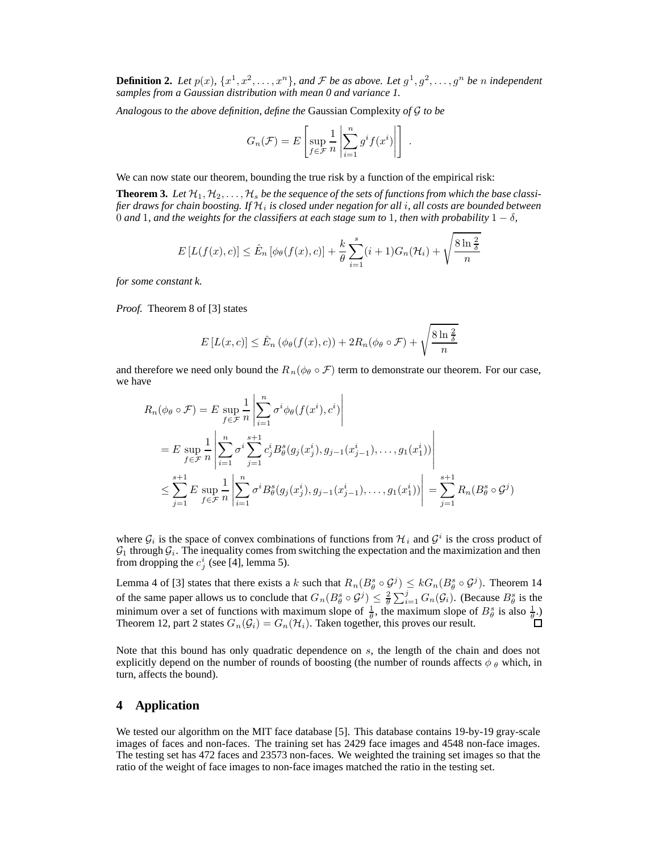**Definition 2.** Let  $p(x)$ ,  $\{x^1, x^2, \ldots, x^n\}$ , and F be as above. Let  $g^1, g^2, \ldots, g^n$  be n independent *samples from a Gaussian distribution with mean 0 and variance 1.*

*Analogous to the above definition, define the* Gaussian Complexity *of* G *to be*

$$
G_n(\mathcal{F}) = E\left[\sup_{f \in \mathcal{F}} \frac{1}{n} \left| \sum_{i=1}^n g^i f(x^i) \right| \right]
$$

We can now state our theorem, bounding the true risk by a function of the empirical risk:

**Theorem 3.** Let  $H_1, H_2, \ldots, H_s$  be the sequence of the sets of functions from which the base classi*fier draws for chain boosting. If* <sup>H</sup>i *is closed under negation for all* <sup>i</sup>*, all costs are bounded between* 0 and 1, and the weights for the classifiers at each stage sum to 1, then with probability  $1 - \delta$ ,

$$
E\left[L(f(x),c)\right] \leq \hat{E}_n\left[\phi_\theta(f(x),c)\right] + \frac{k}{\theta} \sum_{i=1}^s (i+1)G_n(\mathcal{H}_i) + \sqrt{\frac{8\ln\frac{2}{\delta}}{n}}
$$

*for some constant k.*

*Proof.* Theorem 8 of [3] states

$$
E\left[L(x,c)\right] \leq \hat{E}_n\left(\phi_\theta(f(x),c)\right) + 2R_n(\phi_\theta \circ \mathcal{F}) + \sqrt{\frac{8\ln\frac{2}{\delta}}{n}}
$$

and therefore we need only bound the  $R_n(\phi \circ \mathcal{F})$  term to demonstrate our theorem. For our case, we have

$$
R_n(\phi_{\theta} \circ \mathcal{F}) = E \sup_{f \in \mathcal{F}} \frac{1}{n} \left| \sum_{i=1}^n \sigma^i \phi_{\theta}(f(x^i), c^i) \right|
$$
  
=  $E \sup_{f \in \mathcal{F}} \frac{1}{n} \left| \sum_{i=1}^n \sigma^i \sum_{j=1}^{s+1} c_j^i B_{\theta}^s(g_j(x^i_j), g_{j-1}(x^i_{j-1}), \dots, g_1(x^i_1)) \right|$   

$$
\leq \sum_{j=1}^{s+1} E \sup_{f \in \mathcal{F}} \frac{1}{n} \left| \sum_{i=1}^n \sigma^i B_{\theta}^s(g_j(x^i_j), g_{j-1}(x^i_{j-1}), \dots, g_1(x^i_1)) \right| = \sum_{j=1}^{s+1} R_n(B_{\theta}^s \circ \mathcal{G}^j)
$$

where  $G_i$  is the space of convex combinations of functions from  $\mathcal{H}_i$  and  $\mathcal{G}^i$  is the cross product of  $G_1$  through  $G_i$ . The inequality comes from switching the expectation and the maximization and then from dropping the  $c_j^i$  (see [4], lemma 5).

Lemma 4 of [3] states that there exists a k such that  $R_n(B_\theta^s \circ \mathcal{G}^j) \leq kG_n(B_\theta^s \circ \mathcal{G}^j)$ . Theorem 14 of the same paper allows us to conclude that  $G_n(B^s_{\theta} \circ \mathcal{G}^j) \leq \frac{2}{\theta} \sum_{i=1}^j G_n(\mathcal{G}_i)$ . (Because  $B^s_{\theta}$  is the minimum over a set of functions with maximum along of  $\frac{1}{\theta}$  the maximum along of  $B^s$  is a minimum over a set of functions with maximum slope of  $\frac{1}{\theta}$ , the maximum slope of  $B^s_{\theta}$  is also  $\frac{1}{\theta}$ .)<br>Theorem 12, part 2 states  $G_n(G_i) = G_n(H_i)$ . Taken together, this proves our result. Theorem 12, part 2 states  $G_n(\mathcal{G}_i) = G_n(\mathcal{H}_i)$ . Taken together, this proves our result.

Note that this bound has only quadratic dependence on s, the length of the chain and does not explicitly depend on the number of rounds of boosting (the number of rounds affects  $\phi$   $_{\theta}$  which, in turn, affects the bound).

## **4 Application**

We tested our algorithm on the MIT face database [5]. This database contains 19-by-19 gray-scale images of faces and non-faces. The training set has 2429 face images and 4548 non-face images. The testing set has 472 faces and 23573 non-faces. We weighted the training set images so that the ratio of the weight of face images to non-face images matched the ratio in the testing set.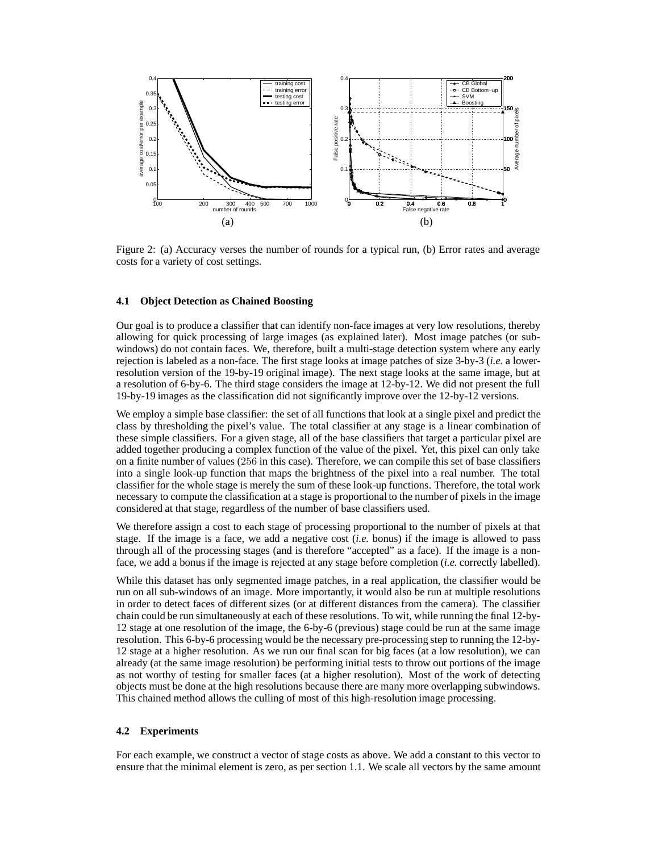

Figure 2: (a) Accuracy verses the number of rounds for a typical run, (b) Error rates and average costs for a variety of cost settings.

#### **4.1 Object Detection as Chained Boosting**

Our goal is to produce a classifier that can identify non-face images at very low resolutions, thereby allowing for quick processing of large images (as explained later). Most image patches (or subwindows) do not contain faces. We, therefore, built a multi-stage detection system where any early rejection is labeled as a non-face. The first stage looks at image patches of size 3-by-3 (*i.e.* a lowerresolution version of the 19-by-19 original image). The next stage looks at the same image, but at a resolution of 6-by-6. The third stage considers the image at 12-by-12. We did not present the full 19-by-19 images as the classification did not significantly improve over the 12-by-12 versions.

We employ a simple base classifier: the set of all functions that look at a single pixel and predict the class by thresholding the pixel's value. The total classifier at any stage is a linear combination of these simple classifiers. For a given stage, all of the base classifiers that target a particular pixel are added together producing a complex function of the value of the pixel. Yet, this pixel can only take on a finite number of values (256 in this case). Therefore, we can compile this set of base classifiers into a single look-up function that maps the brightness of the pixel into a real number. The total classifier for the whole stage is merely the sum of these look-up functions. Therefore, the total work necessary to compute the classification at a stage is proportional to the number of pixels in the image considered at that stage, regardless of the number of base classifiers used.

We therefore assign a cost to each stage of processing proportional to the number of pixels at that stage. If the image is a face, we add a negative cost (*i.e.* bonus) if the image is allowed to pass through all of the processing stages (and is therefore "accepted" as a face). If the image is a nonface, we add a bonus if the image is rejected at any stage before completion (*i.e.* correctly labelled).

While this dataset has only segmented image patches, in a real application, the classifier would be run on all sub-windows of an image. More importantly, it would also be run at multiple resolutions in order to detect faces of different sizes (or at different distances from the camera). The classifier chain could be run simultaneously at each of these resolutions. To wit, while running the final 12-by-12 stage at one resolution of the image, the 6-by-6 (previous) stage could be run at the same image resolution. This 6-by-6 processing would be the necessary pre-processing step to running the 12-by-12 stage at a higher resolution. As we run our final scan for big faces (at a low resolution), we can already (at the same image resolution) be performing initial tests to throw out portions of the image as not worthy of testing for smaller faces (at a higher resolution). Most of the work of detecting objects must be done at the high resolutions because there are many more overlapping subwindows. This chained method allows the culling of most of this high-resolution image processing.

#### **4.2 Experiments**

For each example, we construct a vector of stage costs as above. We add a constant to this vector to ensure that the minimal element is zero, as per section 1.1. We scale all vectors by the same amount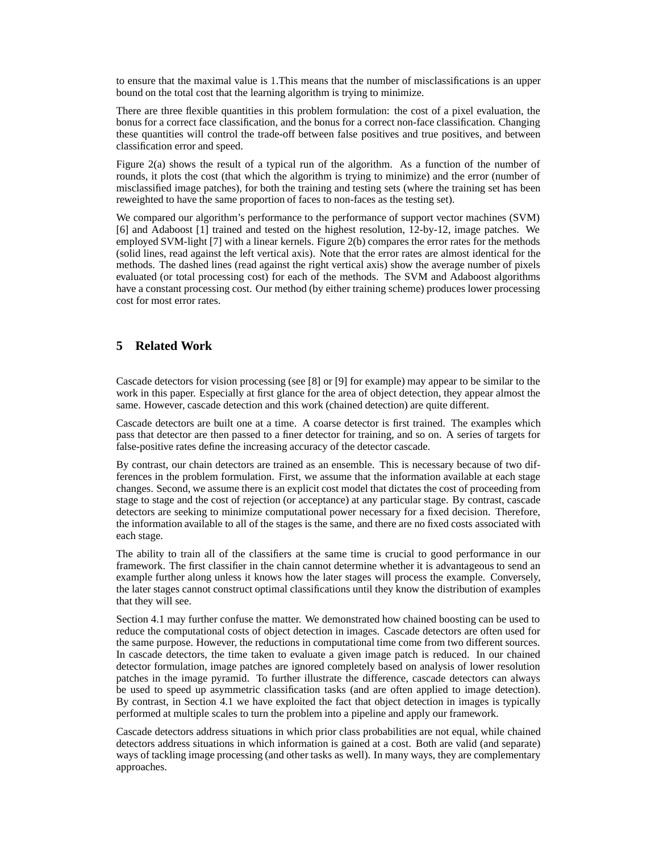to ensure that the maximal value is 1.This means that the number of misclassifications is an upper bound on the total cost that the learning algorithm is trying to minimize.

There are three flexible quantities in this problem formulation: the cost of a pixel evaluation, the bonus for a correct face classification, and the bonus for a correct non-face classification. Changing these quantities will control the trade-off between false positives and true positives, and between classification error and speed.

Figure 2(a) shows the result of a typical run of the algorithm. As a function of the number of rounds, it plots the cost (that which the algorithm is trying to minimize) and the error (number of misclassified image patches), for both the training and testing sets (where the training set has been reweighted to have the same proportion of faces to non-faces as the testing set).

We compared our algorithm's performance to the performance of support vector machines (SVM) [6] and Adaboost [1] trained and tested on the highest resolution, 12-by-12, image patches. We employed SVM-light [7] with a linear kernels. Figure 2(b) compares the error rates for the methods (solid lines, read against the left vertical axis). Note that the error rates are almost identical for the methods. The dashed lines (read against the right vertical axis) show the average number of pixels evaluated (or total processing cost) for each of the methods. The SVM and Adaboost algorithms have a constant processing cost. Our method (by either training scheme) produces lower processing cost for most error rates.

# **5 Related Work**

Cascade detectors for vision processing (see [8] or [9] for example) may appear to be similar to the work in this paper. Especially at first glance for the area of object detection, they appear almost the same. However, cascade detection and this work (chained detection) are quite different.

Cascade detectors are built one at a time. A coarse detector is first trained. The examples which pass that detector are then passed to a finer detector for training, and so on. A series of targets for false-positive rates define the increasing accuracy of the detector cascade.

By contrast, our chain detectors are trained as an ensemble. This is necessary because of two differences in the problem formulation. First, we assume that the information available at each stage changes. Second, we assume there is an explicit cost model that dictates the cost of proceeding from stage to stage and the cost of rejection (or acceptance) at any particular stage. By contrast, cascade detectors are seeking to minimize computational power necessary for a fixed decision. Therefore, the information available to all of the stages is the same, and there are no fixed costs associated with each stage.

The ability to train all of the classifiers at the same time is crucial to good performance in our framework. The first classifier in the chain cannot determine whether it is advantageous to send an example further along unless it knows how the later stages will process the example. Conversely, the later stages cannot construct optimal classifications until they know the distribution of examples that they will see.

Section 4.1 may further confuse the matter. We demonstrated how chained boosting can be used to reduce the computational costs of object detection in images. Cascade detectors are often used for the same purpose. However, the reductions in computational time come from two different sources. In cascade detectors, the time taken to evaluate a given image patch is reduced. In our chained detector formulation, image patches are ignored completely based on analysis of lower resolution patches in the image pyramid. To further illustrate the difference, cascade detectors can always be used to speed up asymmetric classification tasks (and are often applied to image detection). By contrast, in Section 4.1 we have exploited the fact that object detection in images is typically performed at multiple scales to turn the problem into a pipeline and apply our framework.

Cascade detectors address situations in which prior class probabilities are not equal, while chained detectors address situations in which information is gained at a cost. Both are valid (and separate) ways of tackling image processing (and other tasks as well). In many ways, they are complementary approaches.